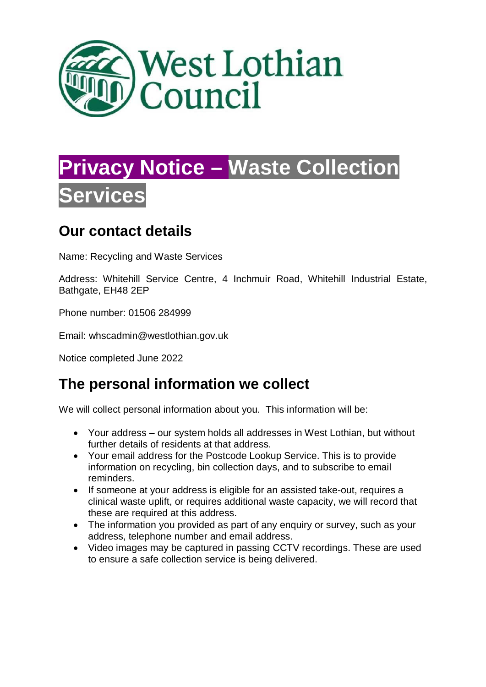

# **Privacy Notice – Waste Collection Services**

## **Our contact details**

Name: Recycling and Waste Services

Address: Whitehill Service Centre, 4 Inchmuir Road, Whitehill Industrial Estate, Bathgate, EH48 2EP

Phone number: 01506 284999

Email: whscadmin@westlothian.gov.uk

Notice completed June 2022

## **The personal information we collect**

We will collect personal information about you. This information will be:

- Your address our system holds all addresses in West Lothian, but without further details of residents at that address.
- Your email address for the Postcode Lookup Service. This is to provide information on recycling, bin collection days, and to subscribe to email reminders.
- If someone at your address is eligible for an assisted take-out, requires a clinical waste uplift, or requires additional waste capacity, we will record that these are required at this address.
- The information you provided as part of any enquiry or survey, such as your address, telephone number and email address.
- Video images may be captured in passing CCTV recordings. These are used to ensure a safe collection service is being delivered.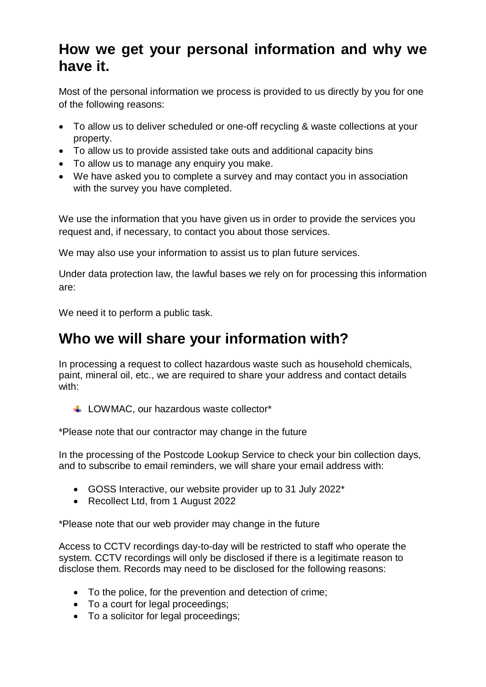#### **How we get your personal information and why we have it.**

Most of the personal information we process is provided to us directly by you for one of the following reasons:

- To allow us to deliver scheduled or one-off recycling & waste collections at your property.
- To allow us to provide assisted take outs and additional capacity bins
- To allow us to manage any enquiry you make.
- We have asked you to complete a survey and may contact you in association with the survey you have completed.

We use the information that you have given us in order to provide the services you request and, if necessary, to contact you about those services.

We may also use your information to assist us to plan future services.

Under data protection law, the lawful bases we rely on for processing this information are:

We need it to perform a public task.

#### **Who we will share your information with?**

In processing a request to collect hazardous waste such as household chemicals, paint, mineral oil, etc., we are required to share your address and contact details with:

LOWMAC, our hazardous waste collector\*

\*Please note that our contractor may change in the future

In the processing of the Postcode Lookup Service to check your bin collection days, and to subscribe to email reminders, we will share your email address with:

- GOSS Interactive, our website provider up to 31 July 2022\*
- Recollect Ltd, from 1 August 2022

\*Please note that our web provider may change in the future

Access to CCTV recordings day-to-day will be restricted to staff who operate the system. CCTV recordings will only be disclosed if there is a legitimate reason to disclose them. Records may need to be disclosed for the following reasons:

- To the police, for the prevention and detection of crime;
- To a court for legal proceedings:
- To a solicitor for legal proceedings;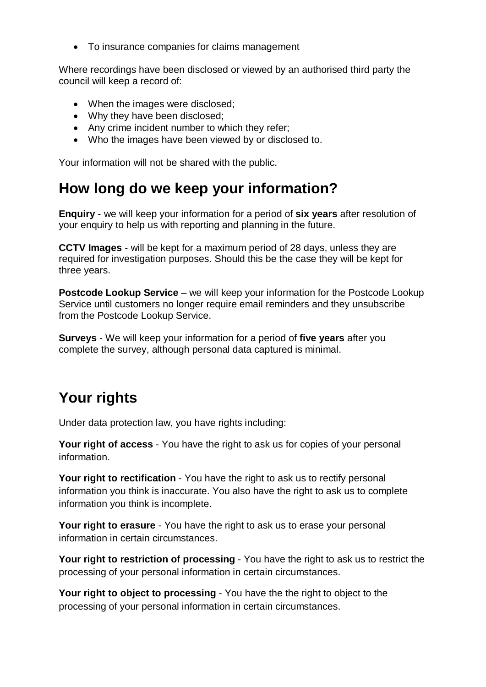• To insurance companies for claims management

Where recordings have been disclosed or viewed by an authorised third party the council will keep a record of:

- When the images were disclosed;
- Why they have been disclosed;
- Any crime incident number to which they refer;
- Who the images have been viewed by or disclosed to.

Your information will not be shared with the public.

#### **How long do we keep your information?**

**Enquiry** - we will keep your information for a period of **six years** after resolution of your enquiry to help us with reporting and planning in the future.

**CCTV Images** - will be kept for a maximum period of 28 days, unless they are required for investigation purposes. Should this be the case they will be kept for three years.

**Postcode Lookup Service** – we will keep your information for the Postcode Lookup Service until customers no longer require email reminders and they unsubscribe from the Postcode Lookup Service.

**Surveys** - We will keep your information for a period of **five years** after you complete the survey, although personal data captured is minimal.

# **Your rights**

Under data protection law, you have rights including:

**Your right of access** - You have the right to ask us for copies of your personal information.

**Your right to rectification** - You have the right to ask us to rectify personal information you think is inaccurate. You also have the right to ask us to complete information you think is incomplete.

**Your right to erasure** - You have the right to ask us to erase your personal information in certain circumstances.

**Your right to restriction of processing** - You have the right to ask us to restrict the processing of your personal information in certain circumstances.

**Your right to object to processing** - You have the the right to object to the processing of your personal information in certain circumstances.